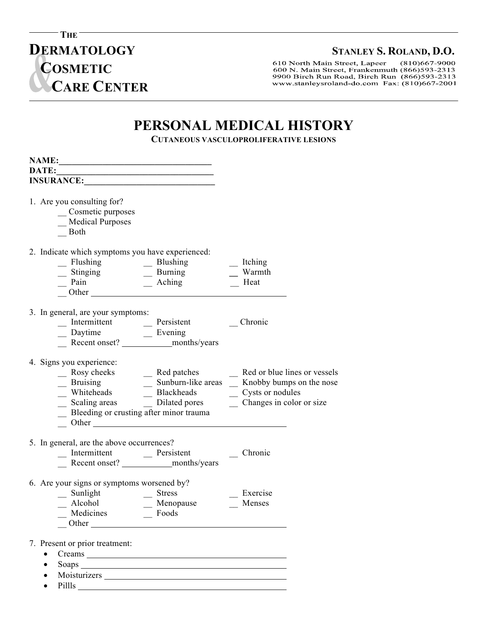9900 Birch Run Road, Birch Run (866)593-2313 www.stanleysroland-do.com Fax: (810)667-2001

## **PERSONAL MEDICAL HISTORY**

**CUTANEOUS VASCULOPROLIFERATIVE LESIONS**

| NAME:                  |                                                                                                                                              | <u> 1989 - Johann Barn, mars ann an t-Amhair an t-Amhair an t-Amhair an t-Amhair an t-Amhair an t-Amhair an t-Amh</u>                                                                                                                                                             |                                                                                                                                                                                                                                                          |  |
|------------------------|----------------------------------------------------------------------------------------------------------------------------------------------|-----------------------------------------------------------------------------------------------------------------------------------------------------------------------------------------------------------------------------------------------------------------------------------|----------------------------------------------------------------------------------------------------------------------------------------------------------------------------------------------------------------------------------------------------------|--|
|                        | DATE: 2008 2012 2022 2023 2024 2022 2022 2023 2024 2022 2023 2024 2022 2023 2024 2022 2023 2024 2025 2026 2027                               |                                                                                                                                                                                                                                                                                   |                                                                                                                                                                                                                                                          |  |
|                        | <b>INSURANCE:</b>                                                                                                                            |                                                                                                                                                                                                                                                                                   |                                                                                                                                                                                                                                                          |  |
|                        | 1. Are you consulting for?<br>Cosmetic purposes<br><b>Medical Purposes</b><br>Both                                                           |                                                                                                                                                                                                                                                                                   |                                                                                                                                                                                                                                                          |  |
|                        | 2. Indicate which symptoms you have experienced:                                                                                             |                                                                                                                                                                                                                                                                                   |                                                                                                                                                                                                                                                          |  |
|                        |                                                                                                                                              | - Flushing<br>- Stinging<br>- Pain<br>- Other<br>- Other<br>- Other<br>- Pain<br>- Other<br>- Pain<br>- Pain<br>- Pain<br>- Pain<br>- Pain<br>- Pain<br>- Pain<br>- Pain<br>- Pain<br>- Pain<br>- Pain<br>- Pain<br>- Pain<br>- Pain<br>- Pain<br>- Pain<br>- Pain<br>- Pain<br>- | $\overline{\phantom{a}}$ Itching<br>Warmth<br>Heat                                                                                                                                                                                                       |  |
|                        | 3. In general, are your symptoms:                                                                                                            |                                                                                                                                                                                                                                                                                   |                                                                                                                                                                                                                                                          |  |
|                        | 4. Signs you experience:                                                                                                                     |                                                                                                                                                                                                                                                                                   | Rosy cheeks<br>Bruising<br>Blackheads<br>Scaling areas<br>Blackheads<br>Blackheads<br>Blackheads<br>Blackheads<br>Blackheads<br>Cysts or nodules<br>Changes in color or size<br>Bleeding or crusting after minor trauma<br>Changes in color or size<br>C |  |
|                        | 5. In general, are the above occurrences?                                                                                                    | _ Intermittent __ Persistent                                                                                                                                                                                                                                                      | Chronic                                                                                                                                                                                                                                                  |  |
|                        | 6. Are your signs or symptoms worsened by?<br>$\frac{\text{Sunlight}}{\text{Alcohol}}$ $\frac{\text{Stress}}{\text{Menopause}}$<br>Medicines | $\equiv$ Foods                                                                                                                                                                                                                                                                    | Exercise<br>Menses                                                                                                                                                                                                                                       |  |
| $\bullet$<br>$\bullet$ | 7. Present or prior treatment:<br>Pillls                                                                                                     | Creams and the contract of the contract of the contract of the contract of the contract of the contract of the contract of the contract of the contract of the contract of the contract of the contract of the contract of the                                                    |                                                                                                                                                                                                                                                          |  |

## **DERMATOLOGY** STANLEY S. ROLAND, D.O.<br> **COSMETIC** 600 N. Main Street, Frankenmuth (866)593-2313 **COSMETIC CARE CENTER**

**THE** 

**C** 

-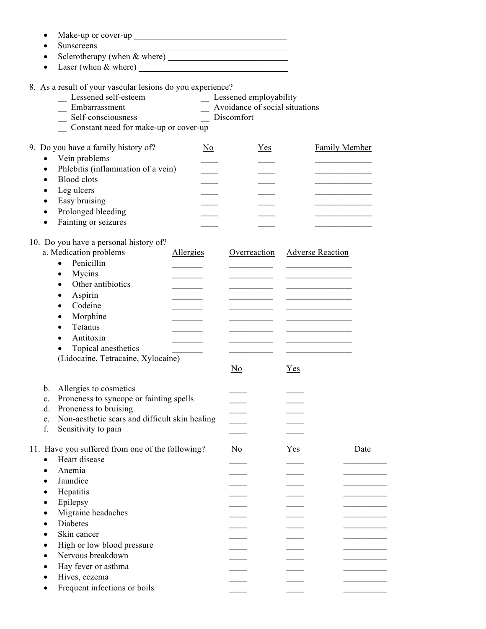|           | Sunscreens                                                    |                                |                         |      |
|-----------|---------------------------------------------------------------|--------------------------------|-------------------------|------|
|           |                                                               |                                |                         |      |
|           |                                                               |                                |                         |      |
|           |                                                               |                                |                         |      |
|           | 8. As a result of your vascular lesions do you experience?    |                                |                         |      |
|           | Lessened self-esteem                                          | _ Lessened employability       |                         |      |
|           | Embarrassment                                                 | Avoidance of social situations |                         |      |
|           | Self-consciousness                                            | Discomfort                     |                         |      |
|           | Constant need for make-up or cover-up                         |                                |                         |      |
|           |                                                               |                                |                         |      |
|           | 9. Do you have a family history of?<br>$\overline{\text{No}}$ | Yes                            | <b>Family Member</b>    |      |
| $\bullet$ | Vein problems                                                 |                                |                         |      |
| $\bullet$ | Phlebitis (inflammation of a vein)                            |                                |                         |      |
| $\bullet$ | <b>Blood</b> clots                                            |                                |                         |      |
|           | Leg ulcers                                                    |                                |                         |      |
|           | Easy bruising                                                 |                                |                         |      |
| $\bullet$ | Prolonged bleeding                                            |                                |                         |      |
| $\bullet$ | Fainting or seizures                                          |                                |                         |      |
|           | 10. Do you have a personal history of?                        |                                |                         |      |
|           | a. Medication problems<br>Allergies                           | Overreaction                   | <b>Adverse Reaction</b> |      |
|           | Penicillin<br>$\bullet$                                       |                                |                         |      |
|           | Mycins<br>$\bullet$                                           |                                |                         |      |
|           | Other antibiotics<br>$\bullet$                                |                                |                         |      |
|           | Aspirin                                                       |                                |                         |      |
|           | ٠<br>Codeine<br>$\bullet$                                     |                                |                         |      |
|           | Morphine                                                      |                                |                         |      |
|           | ٠<br>Tetanus                                                  |                                |                         |      |
|           | $\bullet$<br>Antitoxin                                        |                                |                         |      |
|           | $\bullet$<br>Topical anesthetics                              |                                |                         |      |
|           | (Lidocaine, Tetracaine, Xylocaine)                            |                                |                         |      |
|           |                                                               | No                             | <u>Yes</u>              |      |
|           |                                                               |                                |                         |      |
| $b_{-}$   | Allergies to cosmetics                                        |                                |                         |      |
| c.        | Proneness to syncope or fainting spells                       |                                |                         |      |
| d.        | Proneness to bruising                                         |                                |                         |      |
| e.        | Non-aesthetic scars and difficult skin healing                |                                |                         |      |
| f.        | Sensitivity to pain                                           |                                |                         |      |
|           |                                                               |                                |                         |      |
|           | 11. Have you suffered from one of the following?              | $\underline{\mathrm{No}}$      | $Yes$                   | Date |
| $\bullet$ | Heart disease                                                 |                                |                         |      |
| $\bullet$ | Anemia                                                        |                                |                         |      |
|           | Jaundice                                                      |                                |                         |      |
| ٠         | Hepatitis                                                     |                                |                         |      |
| $\bullet$ | Epilepsy                                                      |                                |                         |      |
| ٠         | Migraine headaches                                            |                                |                         |      |
| $\bullet$ | Diabetes                                                      |                                |                         |      |
|           | Skin cancer                                                   |                                |                         |      |
| ٠         | High or low blood pressure                                    |                                |                         |      |
|           | Nervous breakdown                                             |                                |                         |      |
|           | Hay fever or asthma                                           |                                |                         |      |
|           | Hives, eczema                                                 |                                |                         |      |

• Make-up or cover-up

• Frequent infections or boils  $\overline{\phantom{a}}$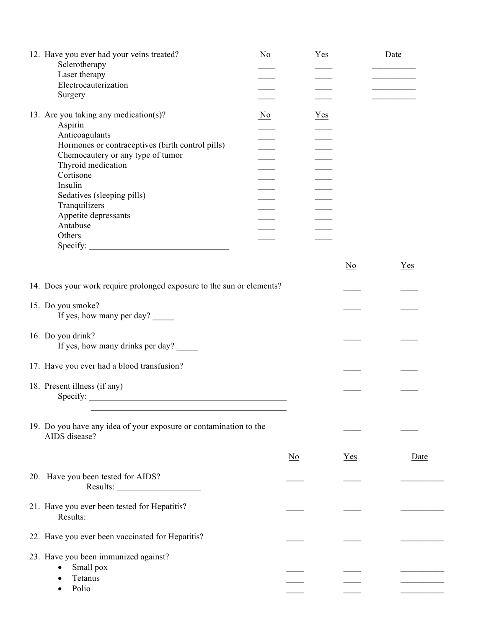| 12. Have you ever had your veins treated?<br>Sclerotherapy<br>Laser therapy<br>Electrocauterization<br>Surgery                                                                                                                                                                                         | $\underline{\mathrm{No}}$ | $Yes$          |                           | Date |
|--------------------------------------------------------------------------------------------------------------------------------------------------------------------------------------------------------------------------------------------------------------------------------------------------------|---------------------------|----------------|---------------------------|------|
| 13. Are you taking any medication(s)?<br>Aspirin<br>Anticoagulants<br>Hormones or contraceptives (birth control pills)<br>Chemocautery or any type of tumor<br>Thyroid medication<br>Cortisone<br>Insulin<br>Sedatives (sleeping pills)<br>Tranquilizers<br>Appetite depressants<br>Antabuse<br>Others | $\underline{\mathrm{No}}$ | $Yes$          |                           |      |
|                                                                                                                                                                                                                                                                                                        |                           |                | $\underline{\mathrm{No}}$ | Yes  |
| 14. Does your work require prolonged exposure to the sun or elements?                                                                                                                                                                                                                                  |                           |                |                           |      |
| 15. Do you smoke?<br>If yes, how many per day?                                                                                                                                                                                                                                                         |                           |                |                           |      |
| 16. Do you drink?<br>If yes, how many drinks per day?                                                                                                                                                                                                                                                  |                           |                |                           |      |
| 17. Have you ever had a blood transfusion?                                                                                                                                                                                                                                                             |                           |                |                           |      |
| 18. Present illness (if any)<br>Specify:<br><u> 1980 - Johann Barnett, fransk politik (d. 1980)</u>                                                                                                                                                                                                    |                           |                |                           |      |
| 19. Do you have any idea of your exposure or contamination to the<br>AIDS disease?                                                                                                                                                                                                                     |                           |                |                           |      |
|                                                                                                                                                                                                                                                                                                        |                           | N <sub>0</sub> | Yes                       | Date |
| 20. Have you been tested for AIDS?                                                                                                                                                                                                                                                                     |                           |                |                           |      |
| 21. Have you ever been tested for Hepatitis?                                                                                                                                                                                                                                                           |                           |                |                           |      |
| 22. Have you ever been vaccinated for Hepatitis?                                                                                                                                                                                                                                                       |                           |                |                           |      |
| 23. Have you been immunized against?<br>Small pox<br>Tetanus<br>Polio                                                                                                                                                                                                                                  |                           |                |                           |      |